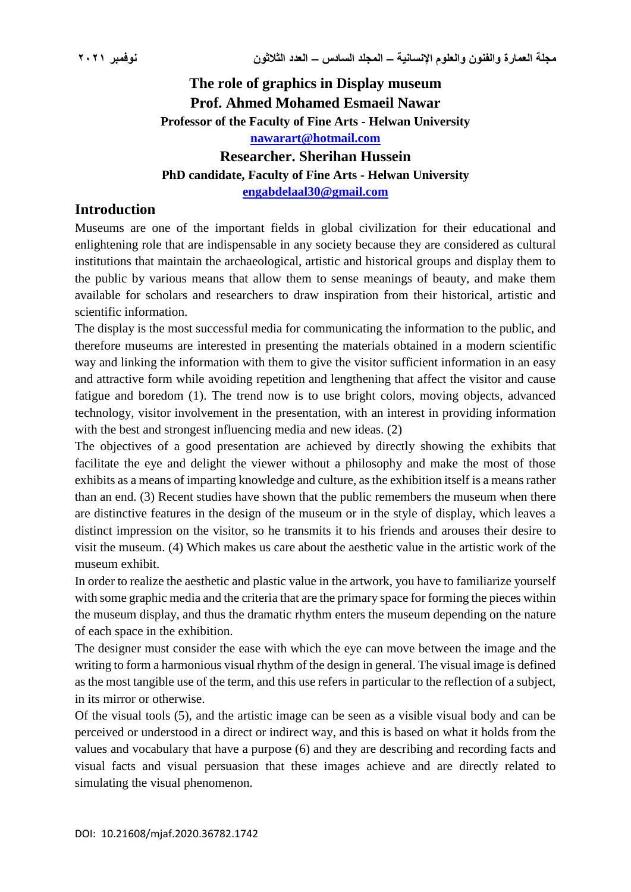# **The role of graphics in Display museum Prof. Ahmed Mohamed Esmaeil Nawar Professor of the Faculty of Fine Arts - Helwan University [nawarart@hotmail.com](mailto:nawarart@hotmail.com) Researcher. Sherihan Hussein PhD candidate, Faculty of Fine Arts - Helwan University**

**[engabdelaal30@gmail.com](mailto:engabdelaal30@gmail.com)**

# **Introduction**

Museums are one of the important fields in global civilization for their educational and enlightening role that are indispensable in any society because they are considered as cultural institutions that maintain the archaeological, artistic and historical groups and display them to the public by various means that allow them to sense meanings of beauty, and make them available for scholars and researchers to draw inspiration from their historical, artistic and scientific information.

The display is the most successful media for communicating the information to the public, and therefore museums are interested in presenting the materials obtained in a modern scientific way and linking the information with them to give the visitor sufficient information in an easy and attractive form while avoiding repetition and lengthening that affect the visitor and cause fatigue and boredom (1). The trend now is to use bright colors, moving objects, advanced technology, visitor involvement in the presentation, with an interest in providing information with the best and strongest influencing media and new ideas. (2)

The objectives of a good presentation are achieved by directly showing the exhibits that facilitate the eye and delight the viewer without a philosophy and make the most of those exhibits as a means of imparting knowledge and culture, as the exhibition itself is a means rather than an end. (3) Recent studies have shown that the public remembers the museum when there are distinctive features in the design of the museum or in the style of display, which leaves a distinct impression on the visitor, so he transmits it to his friends and arouses their desire to visit the museum. (4) Which makes us care about the aesthetic value in the artistic work of the museum exhibit.

In order to realize the aesthetic and plastic value in the artwork, you have to familiarize yourself with some graphic media and the criteria that are the primary space for forming the pieces within the museum display, and thus the dramatic rhythm enters the museum depending on the nature of each space in the exhibition.

The designer must consider the ease with which the eye can move between the image and the writing to form a harmonious visual rhythm of the design in general. The visual image is defined as the most tangible use of the term, and this use refers in particular to the reflection of a subject, in its mirror or otherwise.

Of the visual tools (5), and the artistic image can be seen as a visible visual body and can be perceived or understood in a direct or indirect way, and this is based on what it holds from the values and vocabulary that have a purpose (6) and they are describing and recording facts and visual facts and visual persuasion that these images achieve and are directly related to simulating the visual phenomenon.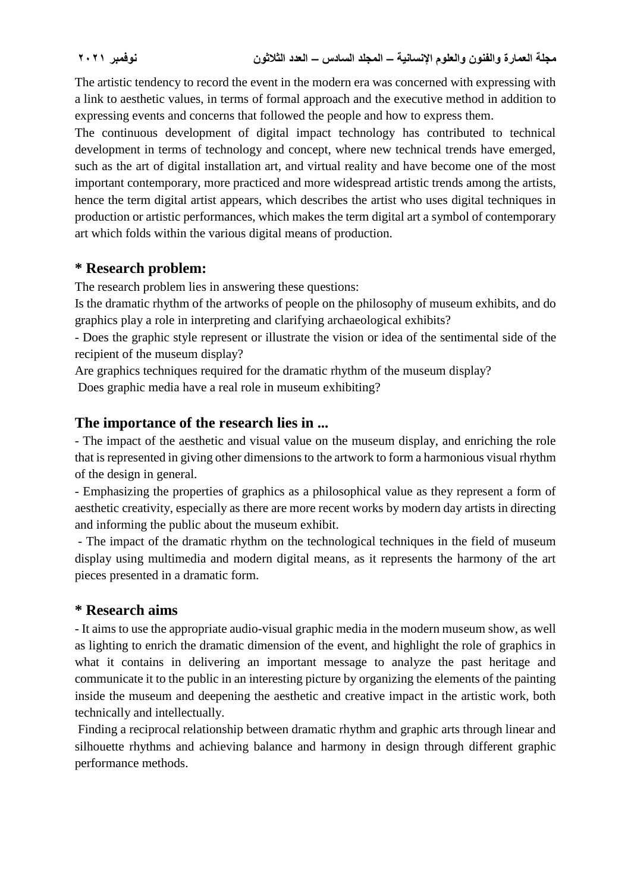The artistic tendency to record the event in the modern era was concerned with expressing with a link to aesthetic values, in terms of formal approach and the executive method in addition to expressing events and concerns that followed the people and how to express them.

The continuous development of digital impact technology has contributed to technical development in terms of technology and concept, where new technical trends have emerged, such as the art of digital installation art, and virtual reality and have become one of the most important contemporary, more practiced and more widespread artistic trends among the artists, hence the term digital artist appears, which describes the artist who uses digital techniques in production or artistic performances, which makes the term digital art a symbol of contemporary art which folds within the various digital means of production.

## **\* Research problem:**

The research problem lies in answering these questions:

Is the dramatic rhythm of the artworks of people on the philosophy of museum exhibits, and do graphics play a role in interpreting and clarifying archaeological exhibits?

- Does the graphic style represent or illustrate the vision or idea of the sentimental side of the recipient of the museum display?

Are graphics techniques required for the dramatic rhythm of the museum display?

Does graphic media have a real role in museum exhibiting?

## **The importance of the research lies in ...**

- The impact of the aesthetic and visual value on the museum display, and enriching the role that is represented in giving other dimensions to the artwork to form a harmonious visual rhythm of the design in general.

- Emphasizing the properties of graphics as a philosophical value as they represent a form of aesthetic creativity, especially as there are more recent works by modern day artists in directing and informing the public about the museum exhibit.

- The impact of the dramatic rhythm on the technological techniques in the field of museum display using multimedia and modern digital means, as it represents the harmony of the art pieces presented in a dramatic form.

#### **\* Research aims**

- It aims to use the appropriate audio-visual graphic media in the modern museum show, as well as lighting to enrich the dramatic dimension of the event, and highlight the role of graphics in what it contains in delivering an important message to analyze the past heritage and communicate it to the public in an interesting picture by organizing the elements of the painting inside the museum and deepening the aesthetic and creative impact in the artistic work, both technically and intellectually.

Finding a reciprocal relationship between dramatic rhythm and graphic arts through linear and silhouette rhythms and achieving balance and harmony in design through different graphic performance methods.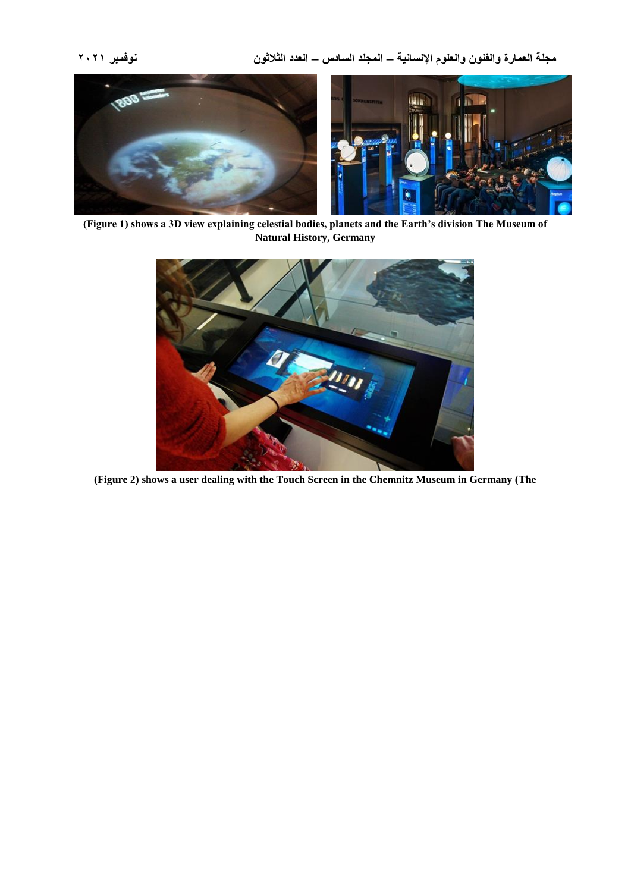**مجلة العمارة والفنون والعلوم اإلنسانية – المجلد السادس – العدد الثالثون نوفمبر 2021**



**(Figure 1) shows a 3D view explaining celestial bodies, planets and the Earth's division The Museum of Natural History, Germany**



**(Figure 2) shows a user dealing with the Touch Screen in the Chemnitz Museum in Germany (The**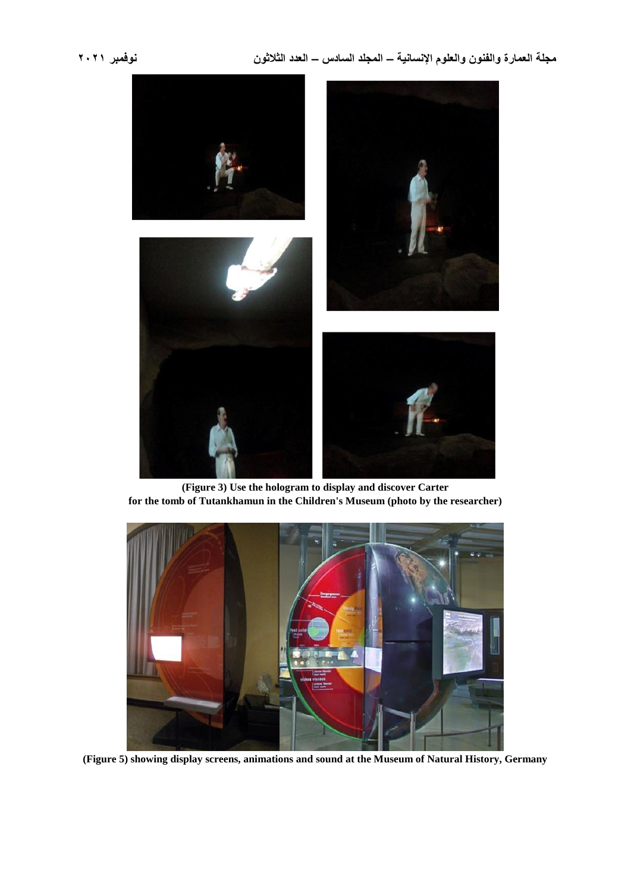# **مجلة العمارة والفنون والعلوم اإلنسانية – المجلد السادس – العدد الثالثون نوفمبر 2021**



**(Figure 3) Use the hologram to display and discover Carter for the tomb of Tutankhamun in the Children's Museum (photo by the researcher)**



**(Figure 5) showing display screens, animations and sound at the Museum of Natural History, Germany**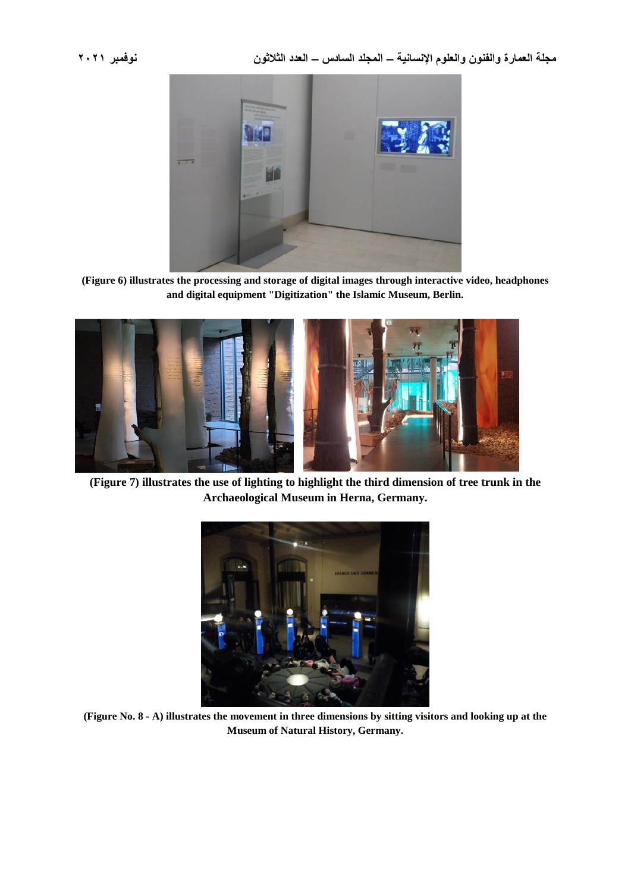

**(Figure 6) illustrates the processing and storage of digital images through interactive video, headphones and digital equipment "Digitization" the Islamic Museum, Berlin.**



**(Figure 7) illustrates the use of lighting to highlight the third dimension of tree trunk in the Archaeological Museum in Herna, Germany.**



**(Figure No. 8 - A) illustrates the movement in three dimensions by sitting visitors and looking up at the Museum of Natural History, Germany.**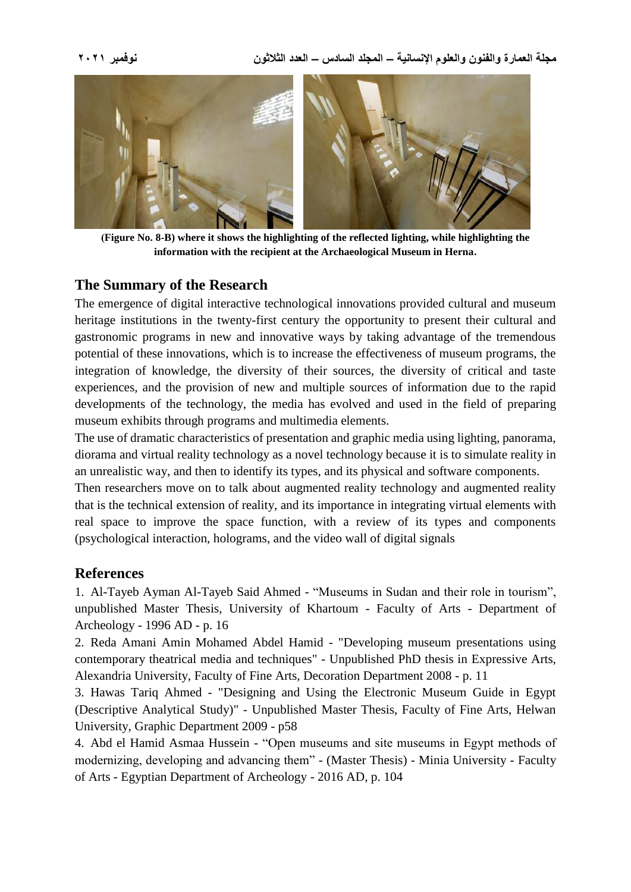**مجلة العمارة والفنون والعلوم اإلنسانية – المجلد السادس – العدد الثالثون نوفمبر 2021**



**)Figure No. 8-B) where it shows the highlighting of the reflected lighting, while highlighting the information with the recipient at the Archaeological Museum in Herna.**

# **The Summary of the Research**

The emergence of digital interactive technological innovations provided cultural and museum heritage institutions in the twenty-first century the opportunity to present their cultural and gastronomic programs in new and innovative ways by taking advantage of the tremendous potential of these innovations, which is to increase the effectiveness of museum programs, the integration of knowledge, the diversity of their sources, the diversity of critical and taste experiences, and the provision of new and multiple sources of information due to the rapid developments of the technology, the media has evolved and used in the field of preparing museum exhibits through programs and multimedia elements.

The use of dramatic characteristics of presentation and graphic media using lighting, panorama, diorama and virtual reality technology as a novel technology because it is to simulate reality in an unrealistic way, and then to identify its types, and its physical and software components.

Then researchers move on to talk about augmented reality technology and augmented reality that is the technical extension of reality, and its importance in integrating virtual elements with real space to improve the space function, with a review of its types and components (psychological interaction, holograms, and the video wall of digital signals

# **References**

1. Al-Tayeb Ayman Al-Tayeb Said Ahmed - "Museums in Sudan and their role in tourism", unpublished Master Thesis, University of Khartoum - Faculty of Arts - Department of Archeology - 1996 AD - p. 16

2. Reda Amani Amin Mohamed Abdel Hamid - "Developing museum presentations using contemporary theatrical media and techniques" - Unpublished PhD thesis in Expressive Arts, Alexandria University, Faculty of Fine Arts, Decoration Department 2008 - p. 11

3. Hawas Tariq Ahmed - "Designing and Using the Electronic Museum Guide in Egypt (Descriptive Analytical Study)" - Unpublished Master Thesis, Faculty of Fine Arts, Helwan University, Graphic Department 2009 - p58

4. Abd el Hamid Asmaa Hussein - "Open museums and site museums in Egypt methods of modernizing, developing and advancing them" - (Master Thesis) - Minia University - Faculty of Arts - Egyptian Department of Archeology - 2016 AD, p. 104